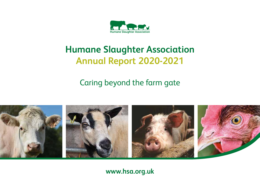

# **Humane Slaughter Association Annual Report 2020-2021**

Caring beyond the farm gate



### **www.hsa.org.uk**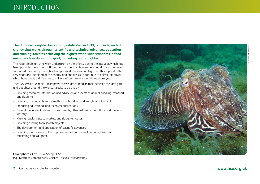### INTRODUCTION

**The Humane Slaughter Association, established in 1911, is an independent charity that works through scientific and technical advances, education and training, towards achieving the highest world-wide standards in food animal welfare during transport, marketing and slaughter.**

This report highlights the work undertaken by the charity during the last year, which has been possible due to the continued commitment of its members and donors who have supported the charity through subscriptions, donations and legacies. This support is the very heart and life-blood of the charity and enables us to continue to deliver initiatives which have made a difference to millions of animals – for which we thank you.

The HSA's vision is simple – to improve the welfare of food animals between the farm gate and slaughter around the world. It seeks to do this by:

- Providing technical information and advice on all aspects of animal handling, transport and slaughter.
- Providing training in humane methods of handling and slaughter of livestock.
- Producing educational and technical publications.
- Giving independent advice to governments, other welfare organisations and the food industry.
- Making regular visits to markets and slaughterhouses.
- Providing funding for research projects.
- The development and application of scientific advances.
- Providing grants towards the improvement of animal welfare during transport, marketing and slaughter.

**Cover photos:** Cow - HSA, Sheep - HSA, Pig - Matthias Zomer/Pexels, Chicken - Alexas Fotos/Pixabay



**2** Caring beyond the farm gate **www.hsa.org.uk**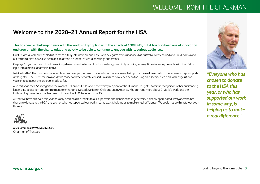## WELCOME FROM THE CHAIRMAN

### **Welcome to the 2020–21 Annual Report for the HSA**

### **This has been a challenging year with the world still grappling with the effects of COVID-19, but it has also been one of innovation and growth, with the charity adapting quickly to be able to continue to engage with its various audiences.**

Our first virtual webinar enabled us to reach a truly international audience, with delegates from as far afield as Australia, New Zealand and Saudi Arabia and our technical staff have also been able to attend a number of virtual meetings and events.

On page 15 you can read about an exciting development in terms of animal welfare, potentially reducing journey times for many animals, with the HSA's input into a mobile abattoir initiative.

In March 2020, the charity announced its largest ever programme of research and development to improve the welfare of fish, crustaceans and cephalopods at slaughter. The £1.93 million award was made to three separate consortiums which have each been focusing on a specific area and, with pages 8 and 9, you can read about the progress made so far.

Also this year, the HSA recognised the work of Dr Carmen Gallo who is the worthy recipient of the Humane Slaughter Award in recognition of her outstanding leadership, dedication and commitment to enhancing livestock welfare in Chile and Latin America. You can read more about Dr Gallo's work, and the forthcoming presentation of her award at a webinar in October on page 15.

All that we have achieved this year has only been possible thanks to our supporters and donors, whose generosity is deeply appreciated. Everyone who has chosen to donate to the HSA this year, or who has supported our work in some way, is helping us to make a real difference. We could not do this without you – thank you.

**Alick Simmons BVMS MSc MRCVS** Chairman of Trustees



*"Everyone who has chosen to donate to the HSA this year, or who has supported our work in some way, is helping us to make a real difference."*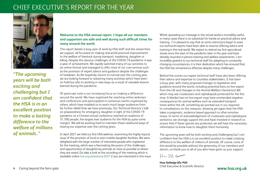### CHIEF EXECUTIVE'S REPORT FOR THE YEAR



*"The upcoming years will be both exciting and challenging but I am confident that the HSA is in an excellent position to make a lasting difference to the welfare of millions of animals.."*

### **Welcome to the HSA annual report. I hope all our members and supporters are safe and well during such difficult times for many around the world.**

This report details a busy year of work by HSA staff and the researchers we support, all focussed on making real-world practical improvements to the welfare of livestock during transport, marketing, slaughter or killing. Despite the obvious challenges of the COVID-19 pandemic it was a year of achievement. We rapidly switched many of our activities to an online format and managed to offer most of our core services such as the provision of expert advice and guidance despite the challenges of lockdown. As life hopefully returns to normal over the coming year, we are looking forward to restarting many activities which have been on hold but also to working in new ways as a result of valuable lessons learned during the pandemic.

Of particular note is our increasing focus on making a difference around the world. We have organised far-reaching online webinars and conferences and participated in numerous events organised by others, which have enabled us to reach much larger audiences from far further afield than we have previously. Our Technical Director's talk on preparedness for emergency slaughter in light of the COVID-19 pandemic at a Chinese virtual conference reached an audience of 31,700 people, the largest ever audience for the HSA by quite some margin! We will be working hard to maintain these newfound ways of sharing our expertise over the coming years.

In April 2021 we held our first HSA webinar, examining the highly topical issue of the provision of local or even mobile slaughter facilities. We were delighted with the large number of interested people who registered for the meeting, which was a fascinating discussion of the challenges and opportunities of slaughtering animals as close as possible to where they are raised. Do take a look at the recording of the meeting which is available online hsa.org.uk/webinar2021 if you are interested in this issue. Whilst spreading our message in the virtual world is incredibly useful, in many cases there is no substitute for hands-on practical advice and training. I'm pleased to say that as some restrictions begin to ease our technical experts have been able to resume offering advice and training in the real world. We expect to attend our first agricultural shows since the start of the pandemic later in the year and have already resumed in-person training and welfare assessments. I am incredibly grateful to our technical staff for adapting to constantly changing circumstances, it is their dedication which has ensured that the HSA has remained so effective despite many challenges.

Behind the scenes our expert technical staff have also been offering their advice and expertise to countless stakeholders. It has been a busy year, with many proposed changes to legislation and guidance around the world, including potential bans on live-export from the UK and changes to the Animal Welfare (Sentience) Bill which may see crustaceans and cephalopods protected for the first time. A blanket ban on live-export may have unintended negative consequences for animal welfare such as extended transport times within the UK, something we pointed out in our response to consultations on this measure, showing yet again that the HSA takes a pragmatic, evidence-based approach to often emotive issues. In terms of acknowledgement of crustacean and cephalopod sentience, we strongly support this and have invested in research to ensure that if these species are protected, we will have the necessary information to know how to slaughter them humanely.

The upcoming years will be both exciting and challenging but I am confident that the HSA is in an excellent position to make a lasting difference to the welfare of millions of animals. Of course, none of this would be possible without the generosity of our members and donors, so thank you to all of you who have given us your support.

Hu DR Som

**Huw Golledge BSc PhD** Chief Executive & Scientific Director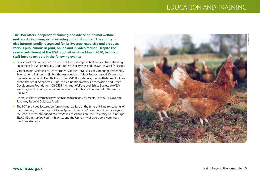### EDUCATION AND TRAINING

**The HSA offers independent training and advice on animal welfare matters during transport, marketing and at slaughter. The charity is also internationally recognised for its livestock expertise and produces various publications in print, online and in video format. Despite the severe curtailment of the HSA's activities since March 2020, technical staff have taken part in the following events:**

- Provision of training courses in the use of firearms, captive-bolt and electrical stunning equipment for: Yorkshire Dairy Goats, British Quality Pigs and Ainsworth Wildlife Rescue.
- Virtual animal welfare lectures to students at the Universities of Cambridge (Veterinary Science) and Edinburgh (MSc); the Association of Meat Inspectors (AMI) Webinar; the Veterinary Public Health Association (VPHA) webinars; the Scottish Smallholders event; the Small Shepherds' Club; the China Biodiversity Conservation and Green Development Foundation (CBCGDF), Animal Welfare and Ethics Society (AWES) Webinar; and the European Commission for the Control of Foot-and-Mouth Disease (EuFMD).
- Animal welfare assessments have been undertaken for: C&K Meats, Joice & Hill, Dovecote Park, Moy Park and Dalehead Foods.
- The HSA provided lectures on farm animal welfare at the time of killing to students of the University of Edinburgh's MSc in *Applied Animal Behaviour* and *Animal Welfare*, the MSc in *International Animal Welfare, Ethics and Law*, the University of Edinburgh/ SRUC MSc in *Applied Poultry Science*, and the University of Liverpool's veterinary medicine students.

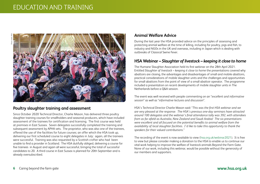### EDUCATION AND TRAINING



### **Poultry slaughter training and assessment**

Since October 2020 Technical Director, Charlie Mason, has delivered three poultry slaughter training courses for smallholders and seasonal producers, which have included assessment of the trainees for certification and licensing. The first course was held at premises in East Sussex. Seven delegates successfully completed the training and subsequent assessment by APHA vets. The proprietor, who was also one of the trainees, offered the use of the facilities for future courses; an offer which the HSA took up, delivering our first scheduled course to eight delegates in July: again, all the trainees were successful. Training was also requested by a Scottish crofter who had been unable to find a provider in Scotland. The HSA dutifully obliged, delivering a course for five trainees in August and again all were successful, bringing the total of successful candidates to 20. A third course in East Sussex is planned for 20th September and is already oversubscribed.

### **Animal Welfare Advice**

During the last year the HSA provided advice on the principles of assessing and protecting animal welfare at the time of killing, including for poultry, pigs and fish, to industry and NGOs in the UK and overseas, including in Japan which is dealing with outbreaks of Classical Swine Fever.

### **HSA Webinar –** *Slaughter of livestock – keeping it close to home*

The Humane Slaughter Association held its first webinar on the 28th April 2021. Entitled *Slaughter of livestock – keeping it close to home* the presentations covered why abattoirs are closing, the advantages and disadvantages of small and mobile abattoirs, practical considerations of mobile slaughter units and the challenges and opportunities for small abattoirs from the point of view of a small abattoir operator. The programme included a presentation on recent developments of mobile slaughter units in The Netherlands before a Q&A session.

The event was well received with people commenting on an "*excellent and informative session*" as well as "*informative lectures and discussion*".

HSA's Technical Director Charlie Mason said: "*This was the first HSA webinar and we are very pleased at the response. The HSA's previous one-day seminars have attracted around 100 delegates and the webinar's final attendance tally was 392, with attendees from as far afield as Australia, New Zealand and Saudi Arabia! The six presentations were excellent and all focused on the potential benefits to animal welfare from the availability of local slaughter facilities. I'd like to take this opportunity to thank the speakers for their valued contributions.*"

The recording of the event is now available to view (hsa.org.uk/webinar2021). It is free to view but please consider making a donation to the HSA to enable us to continue our vital work helping to improve the welfare of livestock animals Beyond the Farm Gate. None of our work, including this webinar, would be possible without the generosity of our members and supporters.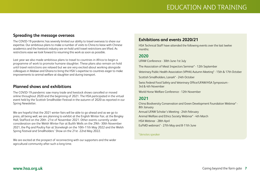### **Spreading the message overseas**

The COVID-19 pandemic has severely limited our ability to travel overseas to share our expertise. Our ambitious plans to make a number of visits to China to liaise with Chinese academics and the livestock industry are on-hold until travel restrictions are lifted. As restrictions ease we look forward to resuming this work as soon as possible.

Last year we also made ambitious plans to travel to countries in Africa to begin a programme of work to promote humane slaughter. These plans also remain on hold until travel restrictions are relaxed but we are very excited about working alongside colleagues in Malawi and Ghana to bring the HSA's expertise to countries eager to make improvements to animal welfare at slaughter and during transport.

### **Planned shows and exhibitions**

The COVID-19 pandemic saw many trade and livestock shows cancelled or moved online throughout 2020 and the beginning of 2021. The HSA participated in the virtual event held by the Scottish Smallholder Festival in the autumn of 2020 as reported in our Spring Newsletter.

We are hopeful that the 2021 winter fairs will be able to go ahead and as we go to press, all being well, we are planning to exhibit at the English Winter Fair, at the Bingley Hall, Stafford on the 20th -21st of November 2021. Other events currently under consideration are the Welsh Winter Fair at Builth Wells on the 29th -30th November 2021, the Pig and Poultry Fair at Stoneleigh on the 10th-11th May 2022 and the Welsh Spring Festival and Smallholders' Show on the 21st -22nd May 2022.

We are excited at the prospect of reconnecting with our supporters and the wider agricultural community after such a long time.

### **Exhibitions and events 2020/21**

HSA Technical Staff have attended the following events over the last twelve months:

### **2020**

UFAW Conference - 30th June-1st July

The Association of Meat Inspectors Seminar\* - 12th September

Veterinary Public Health Association (VPHA) Autumn Meeting\* - 15th & 17th October

Scottish Smallholders, Lanark\* - 24th October

Swiss Federal Food Safety and Veterinary Office/UFAW/HSA Symposium - 3rd & 4th November

World Horse Welfare Conference - 12th November

### **2021**

China Biodiversity Conservation and Green Development Foundation Webinar\* - 8th January Annual UFAW Scholar's Meeting - 24th February Animal Welfare and Ethics Society Webinar\* - 4th March HSA Webinar - 28th April EuFMD webinars\* - 27th May and 8-11th June

#### \*denotes speaker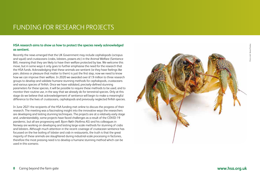## FUNDING FOR RESEARCH PROJECTS

#### **HSA research aims to show us how to protect the species newly acknowledged as sentient.**

Recently the news emerged that the UK Government may include cephalopods (octopus and squid) and crustaceans (crabs, lobsters, prawns etc) in the Animal Welfare (Sentience Bill), meaning that they are likely to have their welfare protected by law. We welcome this move, but in some ways it only goes to further emphasise the need for the research that the HSA funds. Acknowledging that these animals are sentient (ie they have feelings like pain, distress or pleasure that matter to them) is just the first step, now we need to know how we can improve their welfare. In 2020 we awarded over £1.9 million to three research groups to develop and validate humane stunning methods for cephalopods, crustaceans and various species of finfish. Once we have validated, precisely-defined stunning parameters for these species, it will be possible to require these methods to be used, and to monitor their routine use, in the way that we already do for terrestrial species. Only at this stage do we believe that acknowledgement of sentience will begin to make a meaningful difference to the lives of crustaceans, cephalopods and previously neglected finfish species.

In June 2021 the recipients of the HSA funding met online to discuss the progress of their research. The meeting was a fascinating insight into the innovative ways the researchers are developing and testing stunning techniques. The projects are at a relatively early stage and, understandably, some projects have faced challenges as a result of the COVID-19 pandemic, but all are progressing well. Bjorn Røth (Nofima AS) and his colleagues in Norway are working on developing and testing large-scale methods for stunning of crabs and lobsters. Although much attention in the recent coverage of crustacean sentience has focussed on the live boiling of lobster and crab in restaurants, the truth is that the great majority of these animals are slaughtered during industrial-scale processing in factories, therefore the most pressing need is to develop a humane stunning method which can be used in this scenario.

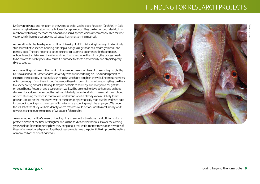## FUNDING FOR RESEARCH PROJECTS

Dr Giovanna Ponte and her team at the Association for Cephalopod Research (CephRes) in Italy are working to develop stunning techniques for cephalopods. They are testing both electrical and mechanical stunning methods for octopus and squid, species which are commonly killed for food yet for which there are currently no validated humane stunning methods.

A consortium led by Ace-Aquatec and the University of Stirling is looking into ways to electrically stun several finfish species including Nile tilapia, pangasius, gilthead sea bream, yellowtail and possibly carp. They are hoping to optimise electrical stunning parameters for these species. Although electrical stunning is well established for some species like salmon, the process needs to be tailored to each species to ensure it is humane for these anatomically and physiologically diverse species.

Also presenting updates on their work at the meeting were members of a research group, led by Dr Nicola Randall at Harper Adams University, who are undertaking an HSA-funded project to examine the feasibility of routinely stunning fish which are caught in the wild. Enormous numbers of fish are caught from the wild and frequently these fish are not stunned, meaning they are likely to experience significant suffering. It may be possible to routinely stun many wild-caught fish on board boats. Research and development work will be essential to develop humane on-boat stunning for various species, but the first step is to fully understand what is already known about on-boat stunning methods so that we can understand what is already known. Dr Katy James gave an update on the impressive work of the team to systematically map out the evidence base for on-boat stunning and the extent of fisheries where stunning might be employed. We hope the results of the study will help identify where research could be focussed to most rapidly work towards making routine stunning of wil-caught fish a reality.

Taken together, the HSA's research funding aims to ensure that we have the vital information to protect animals at the time of slaughter and, as the studies deliver their results over the coming years, we look forward to seeing how they bring about real-world improvements to the welfare of these often-overlooked species. Together, these projects have the potential to improve the welfare of many millions of aquatic animals.

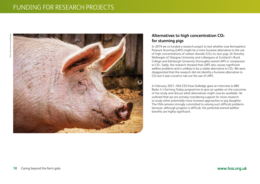

### **Alternatives to high concentration CO2 for stunning pigs**

In 2019 we co-funded a research project to test whether Low Atmospheric Pressure Stunning (LAPS) might be a more humane alternative to the use of high concentrations of carbon dioxide ( $CO<sub>2</sub>$ ) to stun pigs. Dr Dorothy McKeegan of Glasgow University and colleagues at Scotland's Rural College and Edinburgh University thoroughly tested LAPS in comparison to CO2. Sadly, the research showed that LAPS also causes significant welfare problems and is unlikely to be a viable alternative to CO<sub>2</sub>. We were disappointed that the research did not identify a humane alternative to CO2 but it was crucial to rule out the use of LAPS.

In February 2021, HSA CEO Huw Golledge gave an interview to BBC Radio 4's Farming Today programme to give an update on the outcomes of the study and discuss what alternatives might now be available. He outlined that we are actively considering support for more research to study other potentially more humane approaches to pig slaughter. The HSA remains strongly committed to solving such difficult problems because, although progress is difficult, the potential animal welfare benefits are highly significant.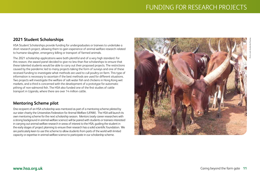### **2021 Student Scholarships**

HSA Student Scholarships provide funding for undergraduates or trainees to undertake a short research project, allowing them to gain experience of animal welfare research related to humane slaughter, emergency killing or transport of farmed animals.

The 2021 scholarship applications were both plentiful and of a very high standard. For this reason, the award panel decided to give no less than five scholarships to ensure that these talented students would be able to carry out their proposed projects. The restrictions caused by the pandemic led to many projects taking the form of surveys and one of these received funding to investigate what methods are used to cull poultry on farm. This type of information is necessary to ascertain if the best methods are used for different situations. Two projects will investigate the welfare of salt-water fish and chickens in Hong Kong wet markets, and a third is concerned with the development of a prototype for automatic pithing of non-salmonid fish. The HSA also funded one of the first studies of cattle transport in Uganda, where there are over 14 million cattle.

### **Mentoring Scheme pilot**

One recipient of an HSA scholarship was mentored as part of a mentoring scheme piloted by our sister charity the Universities Federation for Animal Welfare (UFAW). The HSA will launch its own mentoring scheme for the next scholarship season. Mentors (early career researchers with a strong background in animal welfare science) will be paired with students or trainees interested in carrying out animal welfare research in areas of interest to the HSA, guiding the student in the early stages of project planning to ensure their research has a solid scientific foundation. We are particularly keen to use this scheme to allow students from parts of the world with limited capacity or expertise in animal welfare science to participate in our scholarship scheme.

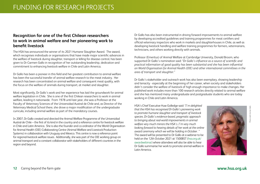### **Recognition for one of the first Chilean researchers to work in animal welfare and her pioneering work to benefit livestock**

The HSA has announced the winner of its 2021 Humane Slaughter Award. The award, which recognises individuals or organisations that have made major scientific advances in the welfare of livestock during slaughter, transport or killing for disease control, has been given to Dr Carmen Gallo in recognition of her outstanding leadership, dedication and commitment to enhancing livestock welfare in Chile and Latin America.

Dr Gallo has been a pioneer in this field and her greatest contribution to animal welfare has been the successful transfer of animal welfare research to the meat industry. Her research has been concentrated on animal welfare and consequent meat quality, with the focus on the welfare of animals during transport, at market and slaughter.

Most significantly, Dr Gallo's work and her experience has laid the groundwork for animal welfare legislation in Chile. She is one of the first Chilean researchers to work in animal welfare, leading it nationwide. From 1978 until last year, she was a Professor at the Faculty of Veterinary Sciences of the Universidad Austral de Chile and, as Director of the Veterinary Medical School there, she drove a major modification of the undergraduate curricula, including animal welfare as part of the mandatory courses.

In 2007, Dr Gallo created and directed the Animal Welfare Programme of the Universidad Austral de Chile – the first of its kind in the country and a reference centre for livestock welfare in Chile and Latin America. She is also the founder and co-ordinator of the World Organisation for Animal Health (OIE) Collaborating Centre (Animal Welfare and Livestock Production Systems) in collaboration with Uruguay and Mexico. This centre is now a reference point for regional livestock welfare issues. Additionally, she was part of the OIE working group on animal transport and a constant collaborator with stakeholders of different countries in the region and beyond.

Dr Gallo has also been instrumental in driving forward improvements to animal welfare by developing accredited guidelines and training programmes for meat certifiers and official veterinary inspectors who work in markets and slaughterhouses in Chile, as well as developing livestock handling and welfare training programmes for farmers, veterinarians, technicians, and others working directly with animals.

Professor (Emeritus) of Animal Welfare at Cambridge University, Donald Broom, who supported Dr Gallo's nomination said: *"Dr Gallo's influence as a source of scientific and practical information of good quality has been substantial and she has been influential on World Organisation for Animal Health (OIE) and other international committees in the area of transport and slaughter."* 

Dr Gallo's stakeholder and outreach work has also been exemplary, showing leadership and tenacity - especially at the beginning of her career, when society and stakeholders didn't consider the welfare of livestock of high enough importance to make changes. Her published work includes more than 100 research articles directly related to animal welfare and she has mentored many undergraduate and postgraduate students who are today working in Chile and Latin America.

HSA's Chief Executive Huw Golledge said: *"I'm delighted that the HSA has recognised Dr Gallo's pioneering work to promote humane slaughter and transport of livestock species. Dr Gallo's evidence-based, pragmatic approach to bringing about real-world improvements in animal welfare very much mirrors the HSA's. I'm very much looking forward to hearing details of her work at the online award ceremony which we will be holding in October . "*  The award will be presented to Dr Gallo at a webinar to be held on the 12th October 2021 at 1500BST (hsa.org.uk/ awardwebinar) where attendees will also be able to hear Dr Gallo summarise her work to promote animal welfare in Latin America.



Photo credit: Carmen Gallo

redit: Carmen Gal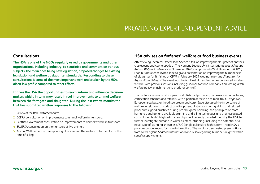### PROVIDING EXPERT INDEPENDENT ADVICE

### **Consultations**

**The HSA is one of the NGOs regularly asked by governments and other organisations, including industry, to scrutinise and comment on various subjects; the main ones being new legislation, proposed changes to existing legislation and welfare at slaughter standards. Responding to these consultations is some of the most important work undertaken by the HSA, albeit low-profile compared to other efforts.**

**It gives the HSA the opportunities to reach, inform and influence decisionmakers which, in turn, may result in real improvements to animal welfare between the farmgate and slaughter. During the last twelve months the HSA has submitted written responses to the following:**

- 1. Review of the Red Tractor Standards.
- 2. DEFRA consultation on improvements to animal welfare in transport.
- 3. Scottish Government consultation on improvements to animal welfare in transport.
- 4. EU/EFSA consultation on the transport of live animals.
- 5. Animal Welfare Committee updating of opinion on the welfare of farmed fish at the time of killing.

### **HSA advises on finfishes' welfare at food business events**

After viewing Technical Officer Jade Spence's talk on improving the slaughter of finfishes, crustaceans and cephalopods at The Humane League UK's international *virtual Aquatic Animal Welfare Conference* in November 2020, Compassion in World Farming's (CIWF) Food Business team invited Jade to give a presentation on improving the humaneness of slaughter for finfishes at CIWF's February 2021 webinar *Humane Slaughter for Aquaculture Fishes*. (The event was the final installment in a series on farmed finfishes' welfare, with previous sessions including guidance for food companies on writing a fish welfare policy, enrichment and predator control.)

The audience was mostly European and UK-based producers, processors, manufacturers, certification schemes and retailers, with a particular focus on salmon, trout, *Pangasius*, European sea bass, gilthead sea bream and carp. Jade discussed the importance of welfare in relation to product quality, potential stressors during killing and related procedures, good practices during pre-slaughter handling, the principles of morehumane slaughter and available stunning and killing techniques and their associated costs. Jade also highlighted a research project recently awarded funds by the HSA to further investigate humane in-water electrical stunning, including the potential of a novel type of stunning known as SPUC (single pulse ultra-high current); read HSA's previous annual report for more information. The webinar also hosted presentations from New England Seafood International and Tesco regarding humane slaughter within specific supply chains.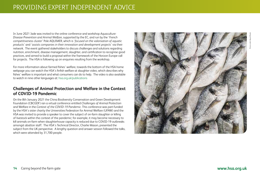In June 2021 Jade was invited to the online conference and workshop *Aquaculture: Disease Prevention and Animal Welfare*, supported by the EC, and run by the '*French competitiveness cluster*' Pole AQUIMER, which is '*focused on the valorisation of aquatic products'* and *'assists companies in their innovation and development projects*' via their network. The event gathered stakeholders to discuss challenges and solutions regarding nutrition, enrichment, disease management, slaughter, and certification to recognise good practices, and aimed to build a proposal within the framework of the Horizon Europe call for projects. The HSA is following up on enquiries resulting from the workshop.

For more information about farmed fishes' welfare, towards the bottom of the HSA home webpage you can watch the HSA's finfish welfare at slaughter video, which describes why fishes' welfare is important and what consumers can do to help. The video is also available to watch in nine other languages at: hsa.org.uk/publications

### **Challenges of Animal Protection and Welfare in the Context of COVID-19 Pandemic**

On the 8th January 2021 the China Biodiversity Conservation and Green Development Foundation (CBCGDF) ran a virtual conference entitled *Challenges of Animal Protection* and Welfare in the *Context of the COVID-19 Pandemic*. This conference was part-funded by the HSA's sister charity the Universities Federation for Animal Welfare (UFAW) and the HSA was invited to provide a speaker to cover the subject of on-farm slaughter or killing of livestock within the context of the pandemic; for example, it may become necessary to kill animals on-farm when slaughterhouse capacity is reduced due to COVID-19 outbreaks amongst abattoir staff. The HSA's Technical Director, Charlie Mason, presented the subject from the UK perspective. A lengthy question and answer session followed the talks, which were attended by 31,700 people.

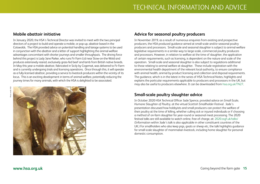### **Mobile abattoir initiative**

In January 2020, the HSA's Technical Director was invited to meet with the two principal directors of a project to build and operate a mobile, or pop-up, abattoir based in the Cotswolds. The HSA provided advice on potential handling and lairage systems to be used in conjunction with the abattoir and a letter of support highlighting the animal welfare advantages concomitant with shorter journeys and smaller throughputs. The driving force behind this project is Lady Jane Parker, who runs Fir Farm Ltd near Stow-on-the-Wold and produces extensively reared, exclusively grass-fed beef and lamb from British native breeds. In May this year a mobile abattoir, fabricated in Sicily by Cogemat, was delivered to Fir Farm and is currently undergoing trials and licensing operations. Once through this, it will operate as a fully-licensed abattoir, providing a service to livestock producers within the vicinity of its locus. This is an exciting development in terms of animal welfare, potentially reducing the journey times for many animals, with which the HSA is delighted to be associated.



### **Advice for seasonal poultry producers**

In November 2019, as a result of numerous enquiries from existing and prospective producers, the HSA produced guidance aimed at small-scale and/or seasonal poultry producers and processors. Small-scale and seasonal slaughter is subject to animal welfare legislative requirements in a similar way to large-scale, commercial poultry producers and processors. However, in relation to welfare at the time of slaughter, the application of certain requirements, such as licensing, is dependent on the nature and scale of the operation. Small-scale and seasonal slaughter is also subject to regulations additional to those relating to animal welfare at slaughter. These include registration with the environmental health department of the relevant local authority, to ensure compliance with animal health, animal by-product licensing and collection and disposal requirements. The guidance, which is in the latest in the series of HSA Technical Notes, highlights and explains the particular requirements applicable to producers and processors in the UK, but may also be useful to producers elsewhere. It can be downloaded from hsa.org.uk/TN27.

### **Small-scale poultry slaughter advice**

In October 2020 HSA Technical Officer Jade Spence, provided advice on *Small-Scale, Humane Slaughter of Poultry*, at the virtual *Scottish Smallholder Festival*. Jade's presentation discussed how hobbyists and small producers can protect the welfare of their poultry at the time of killing, whether culling sick or injured individuals or if choosing a method of on-farm slaughter for year-round or seasonal meat processing. The 2020 festival talks are still available to watch online, free-of-charge, at: 2020.ssgf.uk/talks/ (Information within Jade's talk is also applicable in other constituent countries of the UK.) For smallholders who also keep pigs, goats or sheep etc, the talk highlights guidance for small-scale slaughter of mammalian livestock, including home slaughter for personal domestic consumption.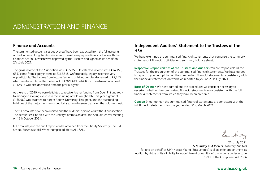## ADMINISTRATION AND FINANCE

### **Finance and Accounts**

The summarised accounts set out overleaf have been extracted from the full accounts of the Humane Slaughter Association and have been prepared in accordance with the Charities Act 2011, which were approved by the Trustees and signed on its behalf on 21st July 2021.

The gross income of the Association was £495,750. Unrestricted income was £494,159, 63% came from legacy income at £312,545. Unfortunately, legacy income is very unpredictable. The income from lecture fees and publication sales decreased to  $£7,243,$ which can be attributed to the impact of COVID-19 restrictions. Investment income at £112,916 was also decreased from the previous year.

At the end of 2019 we were delighted to receive further funding from Open Philanthropy to manage a scoping exercise in the stunning of wild caught fish. This year a grant of £165,989 was awarded to Harper Adams University. This grant, and the outstanding liabilities of the major grants awarded last year can be seen clearly on the balance sheet.

The full accounts have been audited and the auditors' opinion was without qualification. The accounts will be filed with the Charity Commission after the Annual General Meeting on 13th October 2021.

Full accounts, and the audit report can be obtained from the Charity Secretary, The Old School, Brewhouse Hill, Wheathampstead, Herts AL4 8AN.

### **Independent Auditors' Statement to the Trustees of the HSA**

We have examined the summarised financial statements that comprise the summary statement of financial activities and summary balance sheet.

**Respective Responsibilities of the Trustees and Auditors** You are responsible as the Trustees for the preparation of the summarised financial statements. We have agreed to report to you our opinion on the summarised financial statements' consistency with the financial statements, on which we reported to you on 21st July 2021.

**Basis of Opinion** We have carried out the procedures we consider necessary to ascertain whether the summarised financial statements are consistent with the full financial statements from which they have been prepared.

**Opinion** In our opinion the summarised financial statements are consistent with the full financial statements for the year ended 31st March 2021.

Sur thing

21st July 2021 **S Munday FCA** (Senior Statutory Auditor) for and on behalf of UHY Hacker Young (East Limited) is eligible for appointment as auditor by virtue of its eligibility for appointment as auditor of a company under section 1212 of the Companies Act 2006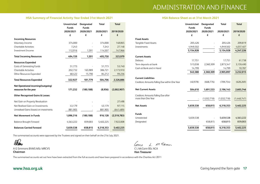### ADMINISTRATION AND FINANCE

#### **HSA Summary of Financial Activity Year Ended 31st March 2021 HSA Balance Sheet as at 31st March 2021**

|                                             | <b>Unrestricted</b><br><b>Funds</b> | <b>Designated</b><br><b>Funds</b> | Total     | <b>Total</b> |
|---------------------------------------------|-------------------------------------|-----------------------------------|-----------|--------------|
|                                             | 2020/2021                           | 2020/2021                         | 2020/2021 | 2019/2020    |
|                                             | £                                   | £                                 | £         | £            |
| <b>Incoming Resources</b>                   |                                     |                                   |           |              |
| Voluntary Income                            | 374,000                             |                                   | 374,000   | 148,865      |
| <b>Charitable Activities</b>                | 7,243                               |                                   | 7,243     | 27,148       |
| Investment Income                           | 112,916                             | 1,591                             | 114,507   | 147,966      |
| <b>Total Incoming Resources</b>             | 494,159                             | 1,591                             | 495,750   | 323,979      |
| <b>Resources Expended</b>                   |                                     |                                   |           |              |
| Costs of Generating Funds                   | 51,773                              |                                   | 51,773    | 53,740       |
| <b>Charitable Activities</b>                | 202,732                             | 165,989                           | 386,721   | 2,173,910    |
| Other Resources Expended                    | 68,422                              | 15,790                            | 84,212    | 99,236       |
| <b>Total Resources Expended</b>             | 322,927                             | 181,779                           | 504,706   | 2,326,886    |
| Net Operational incoming/(outgoing)         |                                     |                                   |           |              |
| resources for the year                      | 171,232                             | (180, 188)                        | (8,956)   | (2,002,907)  |
| <b>Other Recognised Gains &amp; Losses:</b> |                                     |                                   |           |              |
| Net Gain on Property Revaluation            |                                     |                                   |           | 27,498       |
| Net Realised Gain on Investments            | 43,179                              |                                   | 43,179    | 97,115       |
| Unrealised Gains (losses) on investments    | 881,905                             |                                   | 881,905   | (641, 489)   |
| <b>Net Movement in Funds</b>                | 1,096,316                           | (180, 188)                        | 916,128   | (2,519,783)  |
| <b>Balance Brought Forward</b>              | 4,563,222                           | 839,003                           | 5,402,225 | 7,922,008    |
| <b>Balances Carried Forward</b>             | 5,659,538                           | 658,815                           | 6,318,353 | 5,402,225    |

The summarised accounts were approved by the Trustees and signed on their behalf on the 21st July 2021.

albams

A G Simmons BVMS MSc MRCVS **Chairman**

Come L. M. Clann

C L McCann BSc ACA **Hon Treasurer**

The summarised accounts set out here have been extracted from the full accounts and have been prepared in accordance with the Charities Act 2011

|                                                | Unrestricted<br><b>Funds</b> | Designated<br><b>Funds</b> | Total       | <b>Total</b> |
|------------------------------------------------|------------------------------|----------------------------|-------------|--------------|
|                                                | 2020/2021                    | 2020/2021                  | 2020/2021   | 2019/2020    |
|                                                | £                            | £                          | £           | £            |
| <b>Fixed Assets</b>                            |                              |                            |             |              |
| <b>Tangible Fixed Assets</b>                   | 205,426                      |                            | 205,426     | 209,819      |
| Investments                                    | 4,949,502                    |                            | 4,949,502   | 4,037,407    |
|                                                | 5,154,928                    |                            | 5,154,928   | 4,247,226    |
| <b>Current Assets</b>                          |                              |                            |             |              |
| Debtors                                        | 17,751                       |                            | 17,751      | 61,738       |
| Term deposits at bank                          | 513,038                      | 2,360,309                  | 2,873,347   | 3,159,490    |
| Cash at Bank and in Hand                       | 14,799                       |                            | 14,799      | 10,787       |
|                                                | 545,588                      | 2,360,309                  | 2,905,897   | 3,232,015    |
| <b>Current Liabilities</b>                     |                              |                            |             |              |
| Creditors: Amounts Falling Due within One Year | (40, 978)                    | (668, 776)                 | (709, 754)  | (628, 269)   |
| <b>Net Current Assets</b>                      | 504,610                      | 1,691,533                  | 2,196,143   | 2,603,746    |
| Creditors: Amounts Falling Due after           |                              |                            |             |              |
| more than One Year                             |                              | (1,032,718)                | (1,032,718) | (1,448,747)  |
| <b>Net Assets</b>                              | 5,659,538                    | 658,815                    | 6,318,353   | 5,402,225    |
| <b>Funds</b>                                   |                              |                            |             |              |
| Unrestricted                                   | 5,659,538                    |                            | 5,659,538   | 4,563,222    |
| Designated                                     |                              | 658,815                    | 658,815     | 839,003      |
|                                                | 5,659,538                    | 658,815                    | 6,318,353   | 5,402,225    |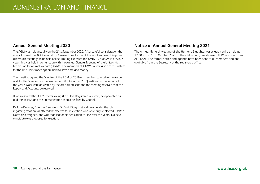### **Annual General Meeting 2020**

The AGM was held virtually on the 21st September 2020. After careful consideration the council moved the AGM forward by 3 weeks to make use of the legal framework in place to allow such meetings to be held online, limiting exposure to COVID-19 risks. As in previous years this was held in conjunction with the Annual General Meeting of the Universities Federation for Animal Welfare (UFAW). The members of UFAW Council also act as Trustees for the HSA. Joint meetings are held to save time and money.

The meeting agreed the Minutes of the AGM of 2019 and resolved to receive the Accounts and Auditor's Report for the year ended 31st March 2020. Questions on the Report of the year's work were answered by the officials present and the meeting resolved that the Report and Accounts be received.

It was resolved that UHY Hacker Young (East) Ltd, Registered Auditors, be appointed as auditors to HSA and their remuneration should be fixed by Council.

Dr Jane Downes, Dr Anna Olsson and Dr David Sargan stood down under the rules regarding rotation, all offered themselves for re-election, and were duly re-elected. Dr Ben North also resigned, and was thanked for his dedication to HSA over the years. No new candidate was proposed for election.

### **Notice of Annual General Meeting 2021**

The Annual General Meeting of the Humane Slaughter Association will be held at 12.30pm on 13th October 2021 at the Old School, Brewhouse Hill, Wheathampstead, AL4 8AN. The formal notice and agenda have been sent to all members and are available from the Secretary at the registered office.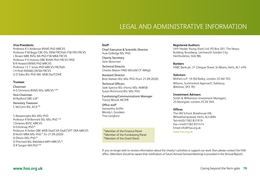## LEGAL AND ADMINISTRATIVE INFORMATION

#### **Vice-Presidents**

Professor R S Anderson BVMS PhD MRCVS Professor P M Biggs CBE DSc DVM FRCPath FSB FRS FRCVS L Brown MBE BVSc BA PhD FSB MBA FRCVS Professor P H Holmes OBE BVMS PhD FRCVS FRSE B R Howard BVMS PhD MRCVS Professor J E T Jones PhD MRCVS FRCPath J H Pratt BVM&S DVSM FRCVS G D Sales BSc PhD AKC MSB DipTCDHE

#### **Trustees**

Chairman A G Simmons BVMS MSc MRCVS **1 2 3**  Vice-Chairman M Radford OBE LLB **<sup>1</sup>**

Honorary Treasurer C McCann BSc ACA**1 3**

S Abeyesinghe BSc MSc PhD Professor R M Bennett BSc MSc PhD **1 2** J Downes BVSC MRCVS A Enticknap PhD**<sup>2</sup>** Professor A Nolan OBE MVB DipECVA DipECVPT DVA MRCVS B North MBA MSc PhD **<sup>1</sup>** (to 21.09.2020) A Olsson MSc PhD **<sup>3</sup>** D Pritchard BSc BVetMed MPH MRCVS **<sup>2</sup>** D R Sargan MA PhD **2 3**

#### **Staff**

Chief Executive & Scientific Director Huw Golledge BSc PhD

Charity Secretary Jane Moorman

Technical Director Charles Mason HND MInstM CF ARAgS

Assistant Director Birte Nielsen BSc MSc PhD (from 21.09.2020)

Technical Officers Jade Spence BSc (Hons) MSc AMRSB Susan Richmond BSc MSc PhD

Fundraising/Communications Manager Tracey Woods MCIPR

Office staff Samantha Griffin Wendy L Goodwin Tina Langford

**<sup>1</sup>**Member of the Finance Panel **<sup>2</sup>**Member of the Fundraising Panel **3**Member of the Grant Panel

#### **Registered Auditors**

UHY Hacker Young (East) Ltd, PO Box 501, The Nexus Building, Broadway, Letchworth Garden City, Hertfordshire, SG6 9BL

**Bankers** HSBC Bank plc, 31 Chequer Street, St Albans, Herts, AL1 4YN

#### **Solicitors**

Withers LLP, 16 Old Bailey, London, EC4M 7EG Wilsons, Summerlock Approach, Salisbury, Wiltshire, SP2 7RJ

**Investment Advisers** Smith & Williamson Investment Managers, 25 Moorgate, London, EC2V 5NS

#### **Offices**

The Old School, Brewhouse Hill, Wheathampstead, Herts, AL4 8AN Tel+44(0)1582 831919 Fax +44(0)1582 831414 Email info@hsa.org.uk www.hsa.org.uk

If you no longer wish to receive information about the charity's activities or support our work, then please contact the HSA office. (Members should be aware that notification of future Annual General Meetings is provided in the Annual Report).